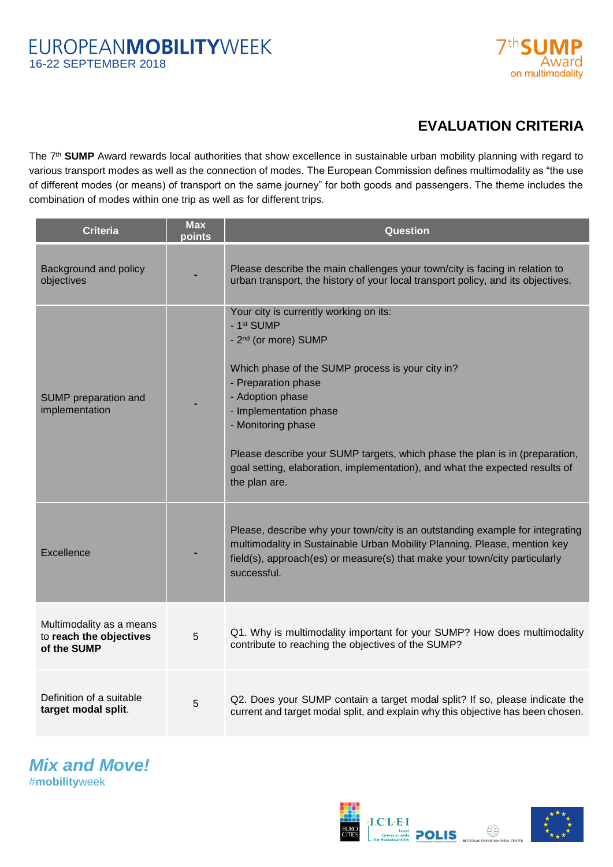

## **EVALUATION CRITERIA**

The 7<sup>th</sup> SUMP Award rewards local authorities that show excellence in sustainable urban mobility planning with regard to various transport modes as well as the connection of modes. The European Commission defines multimodality as "the use of different modes (or means) of transport on the same journey" for both goods and passengers. The theme includes the combination of modes within one trip as well as for different trips.

| <b>Criteria</b>                                                    | <b>Max</b><br>points | Question                                                                                                                                                                                                                                                                                                                                                                                                                |
|--------------------------------------------------------------------|----------------------|-------------------------------------------------------------------------------------------------------------------------------------------------------------------------------------------------------------------------------------------------------------------------------------------------------------------------------------------------------------------------------------------------------------------------|
| Background and policy<br>objectives                                |                      | Please describe the main challenges your town/city is facing in relation to<br>urban transport, the history of your local transport policy, and its objectives.                                                                                                                                                                                                                                                         |
| SUMP preparation and<br>implementation                             |                      | Your city is currently working on its:<br>- 1st SUMP<br>- 2 <sup>nd</sup> (or more) SUMP<br>Which phase of the SUMP process is your city in?<br>- Preparation phase<br>- Adoption phase<br>- Implementation phase<br>- Monitoring phase<br>Please describe your SUMP targets, which phase the plan is in (preparation,<br>goal setting, elaboration, implementation), and what the expected results of<br>the plan are. |
| Excellence                                                         |                      | Please, describe why your town/city is an outstanding example for integrating<br>multimodality in Sustainable Urban Mobility Planning. Please, mention key<br>field(s), approach(es) or measure(s) that make your town/city particularly<br>successful.                                                                                                                                                                 |
| Multimodality as a means<br>to reach the objectives<br>of the SUMP | 5                    | Q1. Why is multimodality important for your SUMP? How does multimodality<br>contribute to reaching the objectives of the SUMP?                                                                                                                                                                                                                                                                                          |
| Definition of a suitable<br>target modal split.                    | 5                    | Q2. Does your SUMP contain a target modal split? If so, please indicate the<br>current and target modal split, and explain why this objective has been chosen.                                                                                                                                                                                                                                                          |

*Mix and Move!* #**mobility**week